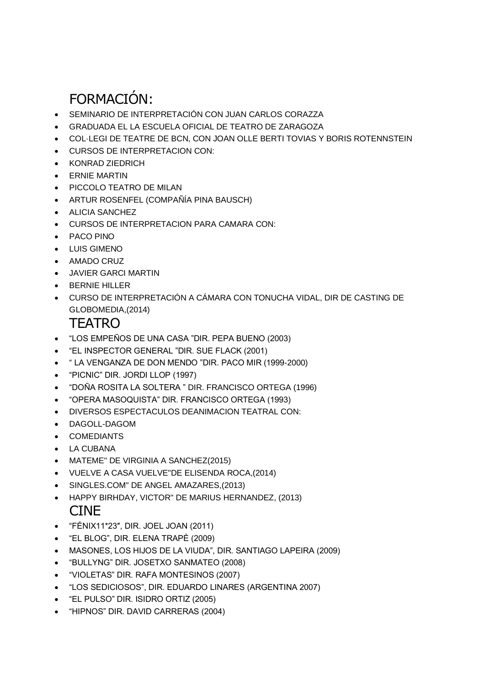## FORMACIÓN:

- SEMINARIO DE INTERPRETACIÓN CON JUAN CARLOS CORAZZA
- GRADUADA EL LA ESCUELA OFICIAL DE TEATRO DE ZARAGOZA
- COL·LEGI DE TEATRE DE BCN, CON JOAN OLLE BERTI TOVIAS Y BORIS ROTENNSTEIN
- CURSOS DE INTERPRETACION CON:
- KONRAD ZIEDRICH
- **•** ERNIE MARTIN
- PICCOLO TEATRO DE MILAN
- ARTUR ROSENFEL (COMPAÑÍA PINA BAUSCH)
- ALICIA SANCHEZ
- CURSOS DE INTERPRETACION PARA CAMARA CON:
- PACO PINO
- LUIS GIMENO
- AMADO CRUZ
- JAVIER GARCI MARTIN
- BERNIE HILLER
- CURSO DE INTERPRETACIÓN A CÁMARA CON TONUCHA VIDAL, DIR DE CASTING DE GLOBOMEDIA,(2014)

## TEATRO

- "LOS EMPEÑOS DE UNA CASA "DIR. PEPA BUENO (2003)
- "EL INSPECTOR GENERAL "DIR. SUE FLACK (2001)
- " LA VENGANZA DE DON MENDO "DIR. PACO MIR (1999-2000)
- "PICNIC" DIR. JORDI LLOP (1997)
- "DOÑA ROSITA LA SOLTERA " DIR. FRANCISCO ORTEGA (1996)
- "OPERA MASOQUISTA" DIR. FRANCISCO ORTEGA (1993)
- DIVERSOS ESPECTACULOS DEANIMACION TEATRAL CON:
- DAGOLL-DAGOM
- COMEDIANTS
- LA CUBANA
- MATEME" DE VIRGINIA A SANCHEZ(2015)
- VUELVE A CASA VUELVE"DE ELISENDA ROCA,(2014)
- SINGLES.COM" DE ANGEL AMAZARES,(2013)
- HAPPY BIRHDAY, VICTOR" DE MARIUS HERNANDEZ, (2013)

## CINE

- "FÉNIX11\*23", DIR. JOEL JOAN (2011)
- "EL BLOG", DIR. ELENA TRAPÈ (2009)
- MASONES, LOS HIJOS DE LA VIUDA", DIR. SANTIAGO LAPEIRA (2009)
- "BULLYNG" DIR. JOSETXO SANMATEO (2008)
- "VIOLETAS" DIR. RAFA MONTESINOS (2007)
- "LOS SEDICIOSOS", DIR. EDUARDO LINARES (ARGENTINA 2007)
- "EL PULSO" DIR. ISIDRO ORTIZ (2005)
- "HIPNOS" DIR. DAVID CARRERAS (2004)